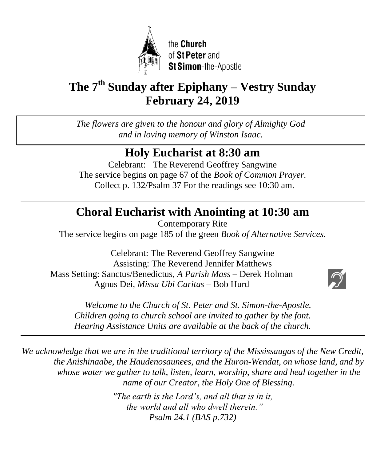

# **The 7 th Sunday after Epiphany – Vestry Sunday February 24, 2019**

*The flowers are given to the honour and glory of Almighty God The flowers are given to the honour and glory of Almighty God and in loving memory of Winston Isaac.* 

# **Holy Eucharist at 8:30 am**

Celebrant: The Reverend Geoffrey Sangwine The service begins on page 67 of the *Book of Common Prayer.* Collect p. 132/Psalm 37 For the readings see 10:30 am.

# **Choral Eucharist with Anointing at 10:30 am**

Contemporary Rite

The service begins on page 185 of the green *Book of Alternative Services.*

Celebrant: The Reverend Geoffrey Sangwine Assisting: The Reverend Jennifer Matthews Mass Setting: Sanctus/Benedictus, *A Parish Mass* – Derek Holman Agnus Dei, *Missa Ubi Caritas* – Bob Hurd



 *Welcome to the Church of St. Peter and St. Simon-the-Apostle. Children going to church school are invited to gather by the font. Hearing Assistance Units are available at the back of the church.*

*We acknowledge that we are in the traditional territory of the Mississaugas of the New Credit, the Anishinaabe, the Haudenosaunees, and the Huron-Wendat, on whose land, and by whose water we gather to talk, listen, learn, worship, share and heal together in the name of our Creator, the Holy One of Blessing.*

> *"The earth is the Lord's, and all that is in it, the world and all who dwell therein." Psalm 24.1 (BAS p.732)*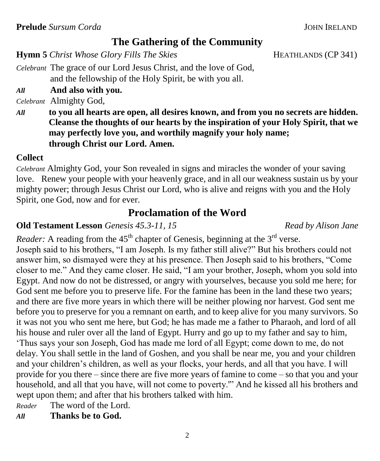# **The Gathering of the Community**

**Hymn 5** *Christ Whose Glory Fills The Skies* **HEATHLANDS** (CP 341)

*Celebrant* The grace of our Lord Jesus Christ, and the love of God, and the fellowship of the Holy Spirit, be with you all.

### *All* **And also with you.**

*Celebrant* Almighty God,

*All* **to you all hearts are open, all desires known, and from you no secrets are hidden. Cleanse the thoughts of our hearts by the inspiration of your Holy Spirit, that we may perfectly love you, and worthily magnify your holy name; through Christ our Lord. Amen.** 

### **Collect**

*Celebrant* Almighty God, your Son revealed in signs and miracles the wonder of your saving love. Renew your people with your heavenly grace, and in all our weakness sustain us by your mighty power; through Jesus Christ our Lord, who is alive and reigns with you and the Holy Spirit, one God, now and for ever.

# **Proclamation of the Word**

#### **Old Testament Lesson** *Genesis 45.3-11, 15**Read by Alison Jane*

*Reader:* A reading from the  $45<sup>th</sup>$  chapter of Genesis, beginning at the  $3<sup>rd</sup>$  verse. Joseph said to his brothers, "I am Joseph. Is my father still alive?" But his brothers could not answer him, so dismayed were they at his presence. Then Joseph said to his brothers, "Come closer to me." And they came closer. He said, "I am your brother, Joseph, whom you sold into Egypt. And now do not be distressed, or angry with yourselves, because you sold me here; for God sent me before you to preserve life. For the famine has been in the land these two years; and there are five more years in which there will be neither plowing nor harvest. God sent me before you to preserve for you a remnant on earth, and to keep alive for you many survivors. So it was not you who sent me here, but God; he has made me a father to Pharaoh, and lord of all his house and ruler over all the land of Egypt. Hurry and go up to my father and say to him, 'Thus says your son Joseph, God has made me lord of all Egypt; come down to me, do not delay. You shall settle in the land of Goshen, and you shall be near me, you and your children and your children's children, as well as your flocks, your herds, and all that you have. I will provide for you there – since there are five more years of famine to come – so that you and your household, and all that you have, will not come to poverty.'" And he kissed all his brothers and wept upon them; and after that his brothers talked with him.

*Reader* The word of the Lord.

*All* **Thanks be to God.**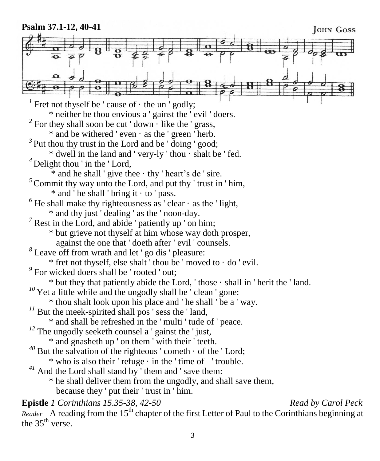**Psalm 37.1-12, 40-41 JOHN GOSS**  $\overline{\bullet}$  $\Omega$ <sup>1</sup> Fret not thyself be ' cause of  $\cdot$  the un ' godly; \* neither be thou envious a ' gainst the ' evil ' doers.  $<sup>2</sup>$  For they shall soon be cut ' down  $\cdot$  like the ' grass,</sup>  $*$  and be withered 'even  $\cdot$  as the 'green ' herb.  $3$ Put thou thy trust in the Lord and be 'doing ' good; \* dwell in the land and ' very-ly ' thou · shalt be ' fed.  $<sup>4</sup>$  Delight thou ' in the ' Lord,</sup>  $*$  and he shall ' give thee  $\cdot$  thy ' heart's de ' sire.  $<sup>5</sup>$  Commit thy way unto the Lord, and put thy ' trust in ' him,</sup>  $*$  and ' he shall ' bring it  $\cdot$  to ' pass.  $<sup>6</sup>$  He shall make thy righteousness as 'clear  $\cdot$  as the 'light,</sup> \* and thy just ' dealing ' as the ' noon-day.  $<sup>7</sup>$  Rest in the Lord, and abide ' patiently up ' on him;</sup> \* but grieve not thyself at him whose way doth prosper, against the one that ' doeth after ' evil ' counsels. <sup>8</sup> Leave off from wrath and let ' go dis ' pleasure:  $*$  fret not thyself, else shalt 'thou be ' moved to  $\cdot$  do ' evil. <sup>9</sup> For wicked doers shall be ' rooted ' out; \* but they that patiently abide the Lord, ' those · shall in ' herit the ' land. <sup>10</sup> Yet a little while and the ungodly shall be 'clean ' gone: \* thou shalt look upon his place and ' he shall ' be a ' way.  $<sup>11</sup>$  But the meek-spirited shall pos ' sess the ' land,</sup> \* and shall be refreshed in the ' multi ' tude of ' peace.  $^{12}$  The ungodly seeketh counsel a ' gainst the ' just, \* and gnasheth up ' on them ' with their ' teeth. *<sup>40</sup>* But the salvation of the righteous ' cometh · of the ' Lord;  $*$  who is also their ' refuge  $\cdot$  in the ' time of ' trouble. *<sup>41</sup>* And the Lord shall stand by ' them and ' save them: \* he shall deliver them from the ungodly, and shall save them, because they ' put their ' trust in ' him. **Epistle** *1 Corinthians 15.35-38, 42-50 Read by Carol Peck* Reader A reading from the 15<sup>th</sup> chapter of the first Letter of Paul to the Corinthians beginning at the  $35<sup>th</sup>$  verse.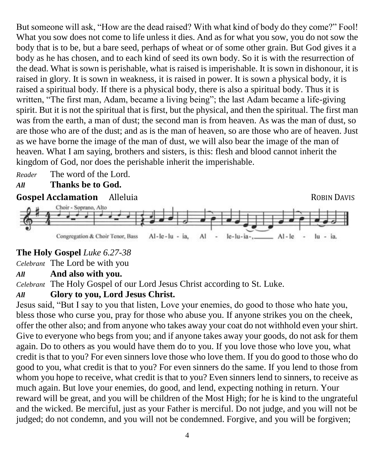But someone will ask, "How are the dead raised? With what kind of body do they come?" Fool! What you sow does not come to life unless it dies. And as for what you sow, you do not sow the body that is to be, but a bare seed, perhaps of wheat or of some other grain. But God gives it a body as he has chosen, and to each kind of seed its own body. So it is with the resurrection of the dead. What is sown is perishable, what is raised is imperishable. It is sown in dishonour, it is raised in glory. It is sown in weakness, it is raised in power. It is sown a physical body, it is raised a spiritual body. If there is a physical body, there is also a spiritual body. Thus it is written, "The first man, Adam, became a living being"; the last Adam became a life-giving spirit. But it is not the spiritual that is first, but the physical, and then the spiritual. The first man was from the earth, a man of dust; the second man is from heaven. As was the man of dust, so are those who are of the dust; and as is the man of heaven, so are those who are of heaven. Just as we have borne the image of the man of dust, we will also bear the image of the man of heaven. What I am saying, brothers and sisters, is this: flesh and blood cannot inherit the kingdom of God, nor does the perishable inherit the imperishable.



## **The Holy Gospel** *Luke 6.27-38*

*Celebrant* The Lord be with you

#### *All* **And also with you.**

*Celebrant* The Holy Gospel of our Lord Jesus Christ according to St. Luke.

#### *All* **Glory to you, Lord Jesus Christ.**

Jesus said, "But I say to you that listen, Love your enemies, do good to those who hate you, bless those who curse you, pray for those who abuse you. If anyone strikes you on the cheek, offer the other also; and from anyone who takes away your coat do not withhold even your shirt. Give to everyone who begs from you; and if anyone takes away your goods, do not ask for them again. Do to others as you would have them do to you. If you love those who love you, what credit is that to you? For even sinners love those who love them. If you do good to those who do good to you, what credit is that to you? For even sinners do the same. If you lend to those from whom you hope to receive, what credit is that to you? Even sinners lend to sinners, to receive as much again. But love your enemies, do good, and lend, expecting nothing in return. Your reward will be great, and you will be children of the Most High; for he is kind to the ungrateful and the wicked. Be merciful, just as your Father is merciful. Do not judge, and you will not be judged; do not condemn, and you will not be condemned. Forgive, and you will be forgiven;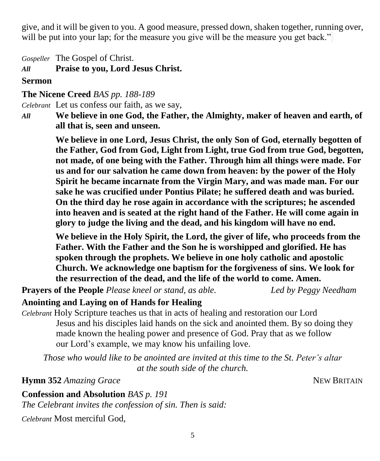give, and it will be given to you. A good measure, pressed down, shaken together, running over, will be put into your lap; for the measure you give will be the measure you get back."

*Gospeller* The Gospel of Christ.

*All* **Praise to you, Lord Jesus Christ.**

**Sermon**

## **The Nicene Creed** *BAS pp. 188-189*

*Celebrant* Let us confess our faith, as we say,

*All* **We believe in one God, the Father, the Almighty, maker of heaven and earth, of all that is, seen and unseen.** 

**We believe in one Lord, Jesus Christ, the only Son of God, eternally begotten of the Father, God from God, Light from Light, true God from true God, begotten, not made, of one being with the Father. Through him all things were made. For us and for our salvation he came down from heaven: by the power of the Holy Spirit he became incarnate from the Virgin Mary, and was made man. For our sake he was crucified under Pontius Pilate; he suffered death and was buried. On the third day he rose again in accordance with the scriptures; he ascended into heaven and is seated at the right hand of the Father. He will come again in glory to judge the living and the dead, and his kingdom will have no end.** 

**We believe in the Holy Spirit, the Lord, the giver of life, who proceeds from the Father. With the Father and the Son he is worshipped and glorified. He has spoken through the prophets. We believe in one holy catholic and apostolic Church. We acknowledge one baptism for the forgiveness of sins. We look for the resurrection of the dead, and the life of the world to come. Amen.**

**Prayers of the People** *Please kneel or stand, as able. Led by Peggy Needham*

# **Anointing and Laying on of Hands for Healing**

*Celebrant* Holy Scripture teaches us that in acts of healing and restoration our Lord Jesus and his disciples laid hands on the sick and anointed them. By so doing they made known the healing power and presence of God. Pray that as we follow our Lord's example, we may know his unfailing love.

*Those who would like to be anointed are invited at this time to the St. Peter's altar at the south side of the church.*

**Hymn 352** *Amazing Grace* **NEW BRITAIN** 

**Confession and Absolution** *BAS p. 191*

*The Celebrant invites the confession of sin. Then is said:*

*Celebrant* Most merciful God,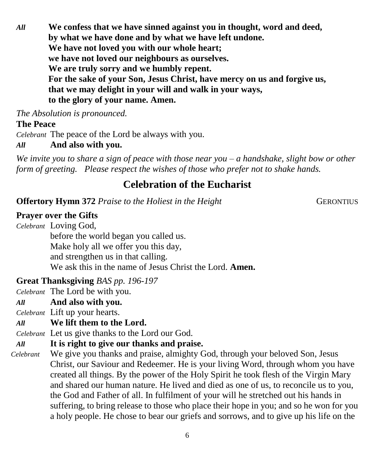*All* **We confess that we have sinned against you in thought, word and deed, by what we have done and by what we have left undone. We have not loved you with our whole heart; we have not loved our neighbours as ourselves. We are truly sorry and we humbly repent. For the sake of your Son, Jesus Christ, have mercy on us and forgive us, that we may delight in your will and walk in your ways, to the glory of your name. Amen.** 

*The Absolution is pronounced.*

#### **The Peace**

*Celebrant* The peace of the Lord be always with you.

#### *All* **And also with you.**

*We invite you to share a sign of peace with those near you – a handshake, slight bow or other form of greeting. Please respect the wishes of those who prefer not to shake hands.*

# **Celebration of the Eucharist**

**Offertory Hymn 372** *Praise to the Holiest in the Height* **GERONTIUS** 

### **Prayer over the Gifts**

*Celebrant* Loving God, before the world began you called us. Make holy all we offer you this day, and strengthen us in that calling. We ask this in the name of Jesus Christ the Lord. **Amen.**

## **Great Thanksgiving** *BAS pp. 196-197*

*Celebrant* The Lord be with you.

*All* **And also with you.**

*Celebrant* Lift up your hearts.

*All* **We lift them to the Lord.**

*Celebrant* Let us give thanks to the Lord our God.

- *All* **It is right to give our thanks and praise.**
- *Celebrant* We give you thanks and praise, almighty God, through your beloved Son, Jesus Christ, our Saviour and Redeemer. He is your living Word, through whom you have created all things. By the power of the Holy Spirit he took flesh of the Virgin Mary and shared our human nature. He lived and died as one of us, to reconcile us to you, the God and Father of all. In fulfilment of your will he stretched out his hands in suffering, to bring release to those who place their hope in you; and so he won for you a holy people. He chose to bear our griefs and sorrows, and to give up his life on the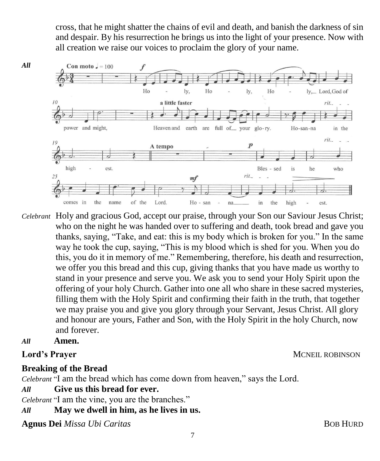cross, that he might shatter the chains of evil and death, and banish the darkness of sin and despair. By his resurrection he brings us into the light of your presence. Now with all creation we raise our voices to proclaim the glory of your name.



*Celebrant* Holy and gracious God, accept our praise, through your Son our Saviour Jesus Christ; who on the night he was handed over to suffering and death, took bread and gave you thanks, saying, "Take, and eat: this is my body which is broken for you." In the same way he took the cup, saying, "This is my blood which is shed for you. When you do this, you do it in memory of me." Remembering, therefore, his death and resurrection, we offer you this bread and this cup, giving thanks that you have made us worthy to stand in your presence and serve you. We ask you to send your Holy Spirit upon the offering of your holy Church. Gather into one all who share in these sacred mysteries, filling them with the Holy Spirit and confirming their faith in the truth, that together we may praise you and give you glory through your Servant, Jesus Christ. All glory and honour are yours, Father and Son, with the Holy Spirit in the holy Church, now and forever.

#### *All* **Amen.**

#### **Breaking of the Bread**

*Celebrant* "I am the bread which has come down from heaven," says the Lord.

#### *All* **Give us this bread for ever.**

*Celebrant* "I am the vine, you are the branches."

#### *All* **May we dwell in him, as he lives in us.**

**Agnus Dei** *Missa Ubi Caritas* BOB HURD

#### **Lord's Prayer MCNEIL ROBINSON**